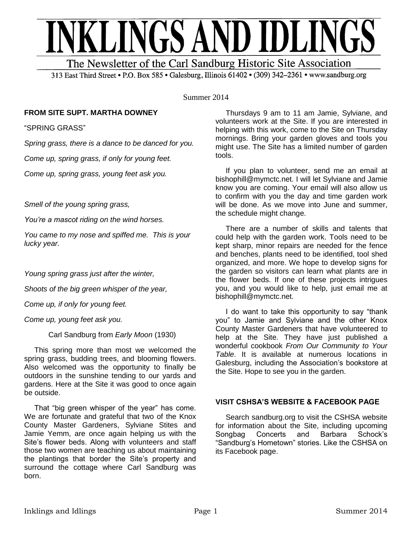

313 East Third Street . P.O. Box 585 . Galesburg, Illinois 61402 . (309) 342-2361 . www.sandburg.org

Summer 2014

# **FROM SITE SUPT. MARTHA DOWNEY**

"SPRING GRASS"

*Spring grass, there is a dance to be danced for you.*

*Come up, spring grass, if only for young feet.*

*Come up, spring grass, young feet ask you.*

*Smell of the young spring grass,*

*You're a mascot riding on the wind horses.*

*You came to my nose and spiffed me. This is your lucky year.*

*Young spring grass just after the winter,*

*Shoots of the big green whisper of the year,*

*Come up, if only for young feet.*

*Come up, young feet ask you.*

Carl Sandburg from *Early Moon* (1930)

 This spring more than most we welcomed the spring grass, budding trees, and blooming flowers. Also welcomed was the opportunity to finally be outdoors in the sunshine tending to our yards and gardens. Here at the Site it was good to once again be outside.

 That "big green whisper of the year" has come. We are fortunate and grateful that two of the Knox County Master Gardeners, Sylviane Stites and Jamie Yemm, are once again helping us with the Site's flower beds. Along with volunteers and staff those two women are teaching us about maintaining the plantings that border the Site's property and surround the cottage where Carl Sandburg was born.

 Thursdays 9 am to 11 am Jamie, Sylviane, and volunteers work at the Site. If you are interested in helping with this work, come to the Site on Thursday mornings. Bring your garden gloves and tools you might use. The Site has a limited number of garden tools.

 If you plan to volunteer, send me an email at bishophill@mymctc.net. I will let Sylviane and Jamie know you are coming. Your email will also allow us to confirm with you the day and time garden work will be done. As we move into June and summer, the schedule might change.

 There are a number of skills and talents that could help with the garden work. Tools need to be kept sharp, minor repairs are needed for the fence and benches, plants need to be identified, tool shed organized, and more. We hope to develop signs for the garden so visitors can learn what plants are in the flower beds. If one of these projects intrigues you, and you would like to help, just email me at bishophill@mymctc.net.

 I do want to take this opportunity to say "thank you" to Jamie and Sylviane and the other Knox County Master Gardeners that have volunteered to help at the Site. They have just published a wonderful cookbook *From Our Community to Your Table*. It is available at numerous locations in Galesburg, including the Association's bookstore at the Site. Hope to see you in the garden.

# **VISIT CSHSA'S WEBSITE & FACEBOOK PAGE**

Search sandburg.org to visit the CSHSA website for information about the Site, including upcoming Songbag Concerts and Barbara Schock's "Sandburg's Hometown" stories. Like the CSHSA on its Facebook page.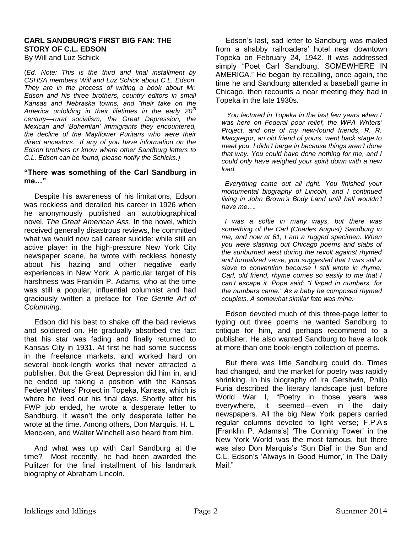#### **CARL SANDBURG'S FIRST BIG FAN: THE STORY OF C.L. EDSON**  By Will and Luz Schick

(*Ed. Note: This is the third and final installment by CSHSA members Will and Luz Schick about C.L. Edson. They are in the process of writing a book about Mr. Edson and his three brothers, country editors in small Kansas and Nebraska towns, and "their take on the America unfolding in their lifetimes in the early 20th century—rural socialism, the Great Depression, the Mexican and 'Bohemian' immigrants they encountered, the decline of the Mayflower Puritans who were their direct ancestors." If any of you have information on the Edson brothers or know where other Sandburg letters to* 

*C.L. Edson can be found, please notify the Schicks.)*

#### **"There was something of the Carl Sandburg in me…"**

 Despite his awareness of his limitations, Edson was reckless and derailed his career in 1926 when he anonymously published an autobiographical novel, *The Great American Ass*. In the novel, which received generally disastrous reviews, he committed what we would now call career suicide: while still an active player in the high-pressure New York City newspaper scene, he wrote with reckless honesty about his hazing and other negative early experiences in New York. A particular target of his harshness was Franklin P. Adams, who at the time was still a popular, influential columnist and had graciously written a preface for *The Gentle Art of Columning*.

 Edson did his best to shake off the bad reviews and soldiered on. He gradually absorbed the fact that his star was fading and finally returned to Kansas City in 1931. At first he had some success in the freelance markets, and worked hard on several book-length works that never attracted a publisher. But the Great Depression did him in, and he ended up taking a position with the Kansas Federal Writers' Project in Topeka, Kansas, which is where he lived out his final days. Shortly after his FWP job ended, he wrote a desperate letter to Sandburg. It wasn't the only desperate letter he wrote at the time. Among others, Don Marquis, H. L. Mencken, and Walter Winchell also heard from him.

 And what was up with Carl Sandburg at the time? Most recently, he had been awarded the Pulitzer for the final installment of his landmark biography of Abraham Lincoln.

 Edson's last, sad letter to Sandburg was mailed from a shabby railroaders' hotel near downtown Topeka on February 24, 1942. It was addressed simply "Poet Carl Sandburg, SOMEWHERE IN AMERICA." He began by recalling, once again, the time he and Sandburg attended a baseball game in Chicago, then recounts a near meeting they had in Topeka in the late 1930s.

 *You lectured in Topeka in the last few years when I was here on Federal poor relief, the WPA Writers' Project, and one of my new-found friends, R. R. Macgregor, an old friend of yours, went back stage to meet you. I didn't barge in because things aren't done that way. You could have done nothing for me, and I could only have weighed your spirit down with a new load.*

 *Everything came out all right. You finished your monumental biography of Lincoln, and I continued living in John Brown's Body Land until hell wouldn't have me….*

 *I was a softie in many ways, but there was something of the Carl (Charles August) Sandburg in me, and now at 61, I am a rugged specimen. When you were slashing out Chicago poems and slabs of the sunburned west during the revolt against rhymed and formalized verse, you suggested that I was still a slave to convention because I still wrote in rhyme. Carl, old friend, rhyme comes so easily to me that I can't escape it. Pope said: "I lisped in numbers, for the numbers came." As a baby he composed rhymed couplets. A somewhat similar fate was mine.*

 Edson devoted much of this three-page letter to typing out three poems he wanted Sandburg to critique for him, and perhaps recommend to a publisher. He also wanted Sandburg to have a look at more than one book-length collection of poems.

 But there was little Sandburg could do. Times had changed, and the market for poetry was rapidly shrinking. In his biography of Ira Gershwin, Philip Furia described the literary landscape just before World War I, "Poetry in those years was everywhere, it seemed—even in the daily newspapers. All the big New York papers carried regular columns devoted to light verse; F.P.A's [Franklin P. Adams's] 'The Conning Tower' in the New York World was the most famous, but there was also Don Marquis's 'Sun Dial' in the Sun and C.L. Edson's 'Always in Good Humor,' in The Daily Mail."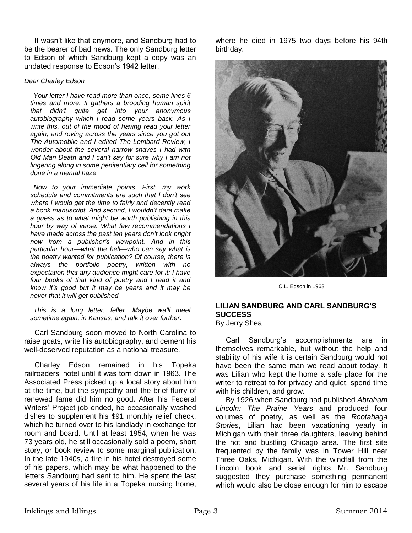It wasn't like that anymore, and Sandburg had to be the bearer of bad news. The only Sandburg letter to Edson of which Sandburg kept a copy was an undated response to Edson's 1942 letter,

#### *Dear Charley Edson*

 *Your letter I have read more than once, some lines 6 times and more. It gathers a brooding human spirit that didn't quite get into your anonymous autobiography which I read some years back. As I write this, out of the mood of having read your letter again, and roving across the years since you got out The Automobile and I edited The Lombard Review, I wonder about the several narrow shaves I had with Old Man Death and I can't say for sure why I am not lingering along in some penitentiary cell for something done in a mental haze.* 

 *Now to your immediate points. First, my work schedule and commitments are such that I don't see where I would get the time to fairly and decently read a book manuscript. And second, I wouldn't dare make a guess as to what might be worth publishing in this hour by way of verse. What few recommendations I have made across the past ten years don't look bright now from a publisher's viewpoint. And in this particular hour—what the hell—who can say what is the poetry wanted for publication? Of course, there is always the portfolio poetry, written with no expectation that any audience might care for it: I have four books of that kind of poetry and I read it and know it's good but it may be years and it may be never that it will get published.* 

 *This is a long letter, feller. Maybe we'll meet sometime again, in Kansas, and talk it over further*.

 Carl Sandburg soon moved to North Carolina to raise goats, write his autobiography, and cement his well-deserved reputation as a national treasure.

 Charley Edson remained in his Topeka railroaders' hotel until it was torn down in 1963. The Associated Press picked up a local story about him at the time, but the sympathy and the brief flurry of renewed fame did him no good. After his Federal Writers' Project job ended, he occasionally washed dishes to supplement his \$91 monthly relief check, which he turned over to his landlady in exchange for room and board. Until at least 1954, when he was 73 years old, he still occasionally sold a poem, short story, or book review to some marginal publication. In the late 1940s, a fire in his hotel destroyed some of his papers, which may be what happened to the letters Sandburg had sent to him. He spent the last several years of his life in a Topeka nursing home, where he died in 1975 two days before his 94th birthday.



C.L. Edson in 1963

# **LILIAN SANDBURG AND CARL SANDBURG'S SUCCESS**

By Jerry Shea

 Carl Sandburg's accomplishments are in themselves remarkable, but without the help and stability of his wife it is certain Sandburg would not have been the same man we read about today. It was Lilian who kept the home a safe place for the writer to retreat to for privacy and quiet, spend time with his children, and grow.

 By 1926 when Sandburg had published *Abraham Lincoln: The Prairie Years* and produced four volumes of poetry, as well as the *Rootabaga Stories*, Lilian had been vacationing yearly in Michigan with their three daughters, leaving behind the hot and bustling Chicago area. The first site frequented by the family was in Tower Hill near Three Oaks, Michigan. With the windfall from the Lincoln book and serial rights Mr. Sandburg suggested they purchase something permanent which would also be close enough for him to escape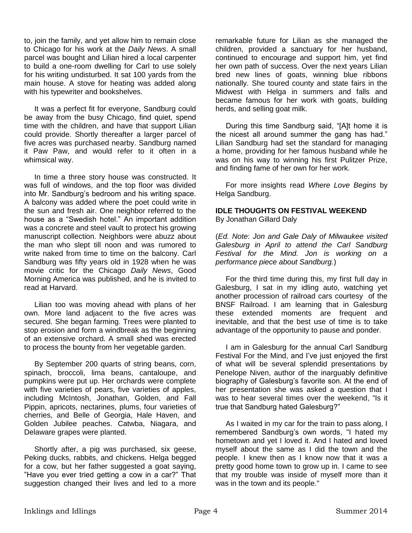to, join the family, and yet allow him to remain close to Chicago for his work at the *Daily News*. A small parcel was bought and Lilian hired a local carpenter to build a one-room dwelling for Carl to use solely for his writing undisturbed. It sat 100 yards from the main house. A stove for heating was added along with his typewriter and bookshelves.

 It was a perfect fit for everyone, Sandburg could be away from the busy Chicago, find quiet, spend time with the children, and have that support Lilian could provide. Shortly thereafter a larger parcel of five acres was purchased nearby. Sandburg named it Paw Paw, and would refer to it often in a whimsical way.

 In time a three story house was constructed. It was full of windows, and the top floor was divided into Mr. Sandburg's bedroom and his writing space. A balcony was added where the poet could write in the sun and fresh air. One neighbor referred to the house as a "Swedish hotel." An important addition was a concrete and steel vault to protect his growing manuscript collection. Neighbors were abuzz about the man who slept till noon and was rumored to write naked from time to time on the balcony. Carl Sandburg was fifty years old in 1928 when he was movie critic for the Chicago *Daily News*, Good Morning America was published, and he is invited to read at Harvard.

 Lilian too was moving ahead with plans of her own. More land adjacent to the five acres was secured. She began farming. Trees were planted to stop erosion and form a windbreak as the beginning of an extensive orchard. A small shed was erected to process the bounty from her vegetable garden.

 By September 200 quarts of string beans, corn, spinach, broccoli, lima beans, cantaloupe, and pumpkins were put up. Her orchards were complete with five varieties of pears, five varieties of apples, including McIntosh, Jonathan, Golden, and Fall Pippin, apricots, nectarines, plums, four varieties of cherries, and Belle of Georgia, Hale Haven, and Golden Jubilee peaches. Catwba, Niagara, and Delaware grapes were planted.

 Shortly after, a pig was purchased, six geese, Peking ducks, rabbits, and chickens. Helga begged for a cow, but her father suggested a goat saying, "Have you ever tried getting a cow in a car?" That suggestion changed their lives and led to a more

remarkable future for Lilian as she managed the children, provided a sanctuary for her husband, continued to encourage and support him, yet find her own path of success. Over the next years Lilian bred new lines of goats, winning blue ribbons nationally. She toured county and state fairs in the Midwest with Helga in summers and falls and became famous for her work with goats, building herds, and selling goat milk.

 During this time Sandburg said, "[A]t home it is the nicest all around summer the gang has had." Lilian Sandburg had set the standard for managing a home, providing for her famous husband while he was on his way to winning his first Pulitzer Prize, and finding fame of her own for her work.

 For more insights read *Where Love Begins* by Helga Sandburg.

### **IDLE THOUGHTS ON FESTIVAL WEEKEND** By Jonathan Gillard Daly

(*Ed. Note*: *Jon and Gale Daly of Milwaukee visited Galesburg in April to attend the Carl Sandburg Festival for the Mind. Jon is working on a performance piece about Sandburg.*)

 For the third time during this, my first full day in Galesburg, I sat in my idling auto, watching yet another procession of railroad cars courtesy of the BNSF Railroad. I am learning that in Galesburg these extended moments are frequent and inevitable, and that the best use of time is to take advantage of the opportunity to pause and ponder.

 I am in Galesburg for the annual Carl Sandburg Festival For the Mind, and I've just enjoyed the first of what will be several splendid presentations by Penelope Niven, author of the inarguably definitive biography of Galesburg's favorite son. At the end of her presentation she was asked a question that I was to hear several times over the weekend, "Is it true that Sandburg hated Galesburg?"

 As I waited in my car for the train to pass along, I remembered Sandburg's own words, "I hated my hometown and yet I loved it. And I hated and loved myself about the same as I did the town and the people. I knew then as I know now that it was a pretty good home town to grow up in. I came to see that my trouble was inside of myself more than it was in the town and its people."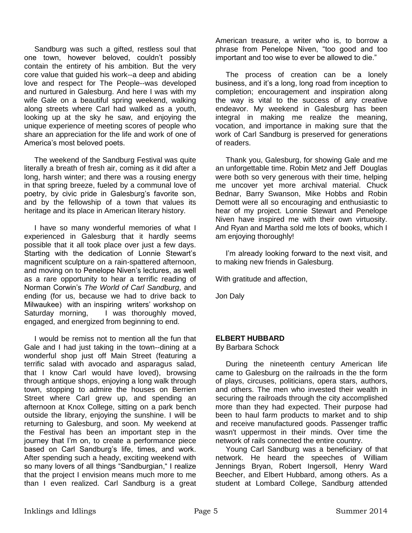Sandburg was such a gifted, restless soul that one town, however beloved, couldn't possibly contain the entirety of his ambition. But the very core value that guided his work--a deep and abiding love and respect for The People--was developed and nurtured in Galesburg. And here I was with my wife Gale on a beautiful spring weekend, walking along streets where Carl had walked as a youth, looking up at the sky he saw, and enjoying the unique experience of meeting scores of people who share an appreciation for the life and work of one of America's most beloved poets.

 The weekend of the Sandburg Festival was quite literally a breath of fresh air, coming as it did after a long, harsh winter; and there was a rousing energy in that spring breeze, fueled by a communal love of poetry, by civic pride in Galesburg's favorite son, and by the fellowship of a town that values its heritage and its place in American literary history.

 I have so many wonderful memories of what I experienced in Galesburg that it hardly seems possible that it all took place over just a few days. Starting with the dedication of Lonnie Stewart's magnificent sculpture on a rain-spattered afternoon, and moving on to Penelope Niven's lectures, as well as a rare opportunity to hear a terrific reading of Norman Corwin's *The World of Carl Sandburg*, and ending (for us, because we had to drive back to Milwaukee) with an inspiring writers' workshop on Saturday morning, I was thoroughly moved, engaged, and energized from beginning to end.

 I would be remiss not to mention all the fun that Gale and I had just taking in the town--dining at a wonderful shop just off Main Street (featuring a terrific salad with avocado and asparagus salad, that I know Carl would have loved), browsing through antique shops, enjoying a long walk through town, stopping to admire the houses on Berrien Street where Carl grew up, and spending an afternoon at Knox College, sitting on a park bench outside the library, enjoying the sunshine. I will be returning to Galesburg, and soon. My weekend at the Festival has been an important step in the journey that I'm on, to create a performance piece based on Carl Sandburg's life, times, and work. After spending such a heady, exciting weekend with so many lovers of all things "Sandburgian," I realize that the project I envision means much more to me than I even realized. Carl Sandburg is a great American treasure, a writer who is, to borrow a phrase from Penelope Niven, "too good and too important and too wise to ever be allowed to die."

 The process of creation can be a lonely business, and it's a long, long road from inception to completion; encouragement and inspiration along the way is vital to the success of any creative endeavor. My weekend in Galesburg has been integral in making me realize the meaning, vocation, and importance in making sure that the work of Carl Sandburg is preserved for generations of readers.

 Thank you, Galesburg, for showing Gale and me an unforgettable time. Robin Metz and Jeff Douglas were both so very generous with their time, helping me uncover yet more archival material. Chuck Bednar, Barry Swanson, Mike Hobbs and Robin Demott were all so encouraging and enthusiastic to hear of my project. Lonnie Stewart and Penelope Niven have inspired me with their own virtuosity. And Ryan and Martha sold me lots of books, which I am enjoying thoroughly!

 I'm already looking forward to the next visit, and to making new friends in Galesburg.

With gratitude and affection,

Jon Daly

# **ELBERT HUBBARD**

By Barbara Schock

 During the nineteenth century American life came to Galesburg on the railroads in the the form of plays, circuses, politicians, opera stars, authors, and others. The men who invested their wealth in securing the railroads through the city accomplished more than they had expected. Their purpose had been to haul farm products to market and to ship and receive manufactured goods. Passenger traffic wasn't uppermost in their minds. Over time the network of rails connected the entire country.

 Young Carl Sandburg was a beneficiary of that network. He heard the speeches of William Jennings Bryan, Robert Ingersoll, Henry Ward Beecher, and Elbert Hubbard, among others. As a student at Lombard College, Sandburg attended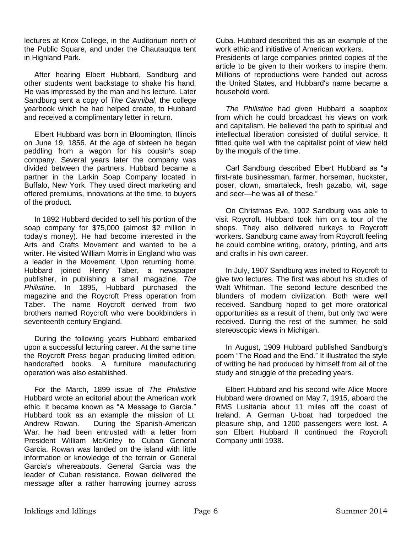lectures at Knox College, in the Auditorium north of the Public Square, and under the Chautauqua tent in Highland Park.

 After hearing Elbert Hubbard, Sandburg and other students went backstage to shake his hand. He was impressed by the man and his lecture. Later Sandburg sent a copy of *The Cannibal*, the college yearbook which he had helped create, to Hubbard and received a complimentary letter in return.

 Elbert Hubbard was born in Bloomington, Illinois on June 19, 1856. At the age of sixteen he began peddling from a wagon for his cousin's soap company. Several years later the company was divided between the partners. Hubbard became a partner in the Larkin Soap Company located in Buffalo, New York. They used direct marketing and offered premiums, innovations at the time, to buyers of the product.

 In 1892 Hubbard decided to sell his portion of the soap company for \$75,000 (almost \$2 million in today's money). He had become interested in the Arts and Crafts Movement and wanted to be a writer. He visited William Morris in England who was a leader in the Movement. Upon returning home, Hubbard joined Henry Taber, a newspaper publisher, in publishing a small magazine, *The Philistine*. In 1895, Hubbard purchased the magazine and the Roycroft Press operation from Taber. The name Roycroft derived from two brothers named Roycroft who were bookbinders in seventeenth century England.

 During the following years Hubbard embarked upon a successful lecturing career. At the same time the Roycroft Press began producing limited edition, handcrafted books. A furniture manufacturing operation was also established.

 For the March, 1899 issue of *The Philistine* Hubbard wrote an editorial about the American work ethic. It became known as "A Message to Garcia." Hubbard took as an example the mission of Lt. Andrew Rowan. During the Spanish-American War, he had been entrusted with a letter from President William McKinley to Cuban General Garcia. Rowan was landed on the island with little information or knowledge of the terrain or General Garcia's whereabouts. General Garcia was the leader of Cuban resistance. Rowan delivered the message after a rather harrowing journey across

Cuba. Hubbard described this as an example of the work ethic and initiative of American workers.

Presidents of large companies printed copies of the article to be given to their workers to inspire them. Millions of reproductions were handed out across the United States, and Hubbard's name became a household word.

 *The Philistine* had given Hubbard a soapbox from which he could broadcast his views on work and capitalism. He believed the path to spiritual and intellectual liberation consisted of dutiful service. It fitted quite well with the capitalist point of view held by the moguls of the time.

 Carl Sandburg described Elbert Hubbard as "a first-rate businessman, farmer, horseman, huckster, poser, clown, smartaleck, fresh gazabo, wit, sage and seer—he was all of these."

 On Christmas Eve, 1902 Sandburg was able to visit Roycroft. Hubbard took him on a tour of the shops. They also delivered turkeys to Roycroft workers. Sandburg came away from Roycroft feeling he could combine writing, oratory, printing, and arts and crafts in his own career.

 In July, 1907 Sandburg was invited to Roycroft to give two lectures. The first was about his studies of Walt Whitman. The second lecture described the blunders of modern civilization. Both were well received. Sandburg hoped to get more oratorical opportunities as a result of them, but only two were received. During the rest of the summer, he sold stereoscopic views in Michigan.

 In August, 1909 Hubbard published Sandburg's poem "The Road and the End." It illustrated the style of writing he had produced by himself from all of the study and struggle of the preceding years.

 Elbert Hubbard and his second wife Alice Moore Hubbard were drowned on May 7, 1915, aboard the RMS Lusitania about 11 miles off the coast of Ireland. A German U-boat had torpedoed the pleasure ship, and 1200 passengers were lost. A son Elbert Hubbard II continued the Roycroft Company until 1938.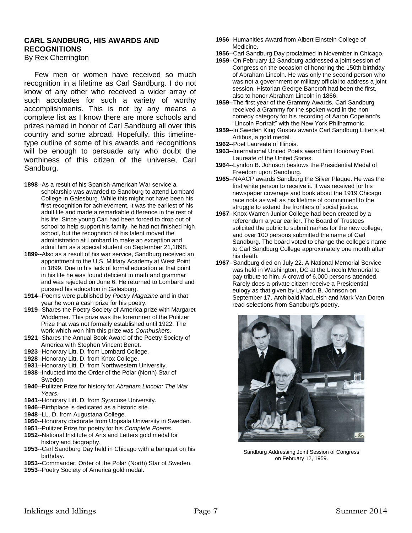# **CARL SANDBURG, HIS AWARDS AND RECOGNITIONS**

By Rex Cherrington

 Few men or women have received so much recognition in a lifetime as Carl Sandburg. I do not know of any other who received a wider array of such accolades for such a variety of worthy accomplishments. This is not by any means a complete list as I know there are more schools and prizes named in honor of Carl Sandburg all over this country and some abroad. Hopefully, this timelinetype outline of some of his awards and recognitions will be enough to persuade any who doubt the worthiness of this citizen of the universe, Carl Sandburg.

- **1898**--As a result of his Spanish-American War service a scholarship was awarded to Sandburg to attend Lombard College in Galesburg. While this might not have been his first recognition for achievement, it was the earliest of his adult life and made a remarkable difference in the rest of his life. Since young Carl had been forced to drop out of school to help support his family, he had not finished high school, but the recognition of his talent moved the administration at Lombard to make an exception and admit him as a special student on September 21,1898.
- **1899--**Also as a result of his war service, Sandburg received an appointment to the U.S. Military Academy at West Point in 1899. Due to his lack of formal education at that point in his life he was found deficient in math and grammar and was rejected on June 6. He returned to Lombard and pursued his education in Galesburg.
- **1914**--Poems were published by *Poetry Magazine* and in that year he won a cash prize for his poetry.
- **1919**--Shares the Poetry Society of America prize with Margaret Widdemer. This prize was the forerunner of the Pulitzer Prize that was not formally established until 1922. The work which won him this prize was *Cornhuskers*.
- **1921**--Shares the Annual Book Award of the Poetry Society of America with Stephen Vincent Benet.
- **1923**--Honorary Litt. D. from Lombard College.
- **1928**--Honorary Litt. D. from Knox College.
- **1931**--Honorary Litt. D. from Northwestern University.
- **1938**--Inducted into the Order of the Polar (North) Star of Sweden
- **1940**--Pulitzer Prize for history for *Abraham Lincoln: The War Years*.
- **1941**--Honorary Litt. D. from Syracuse University.
- **1946**--Birthplace is dedicated as a historic site.
- **1948**--LL. D. from Augustana College.
- **1950**--Honorary doctorate from Uppsala University in Sweden.
- **1951**--Pulitzer Prize for poetry for his *Complete Poems*.
- **1952**--National Institute of Arts and Letters gold medal for history and biography.
- **1953**--Carl Sandburg Day held in Chicago with a banquet on his birthday.
- **1953**--Commander, Order of the Polar (North) Star of Sweden.
- **1953**--Poetry Society of America gold medal.
- **1956**--Humanities Award from Albert Einstein College of Medicine.
- **1956**--Carl Sandburg Day proclaimed in November in Chicago,
- **1959**--On February 12 Sandburg addressed a joint session of Congress on the occasion of honoring the 150th birthday of Abraham Lincoln. He was only the second person who was not a government or military official to address a joint session. Historian George Bancroft had been the first, also to honor Abraham Lincoln in 1866.
- **1959**--The first year of the Grammy Awards, Carl Sandburg received a Grammy for the spoken word in the noncomedy category for his recording of Aaron Copeland's "Lincoln Portrait" with the New York Philharmonic.
- **1959**--In Sweden King Gustav awards Carl Sandburg Litteris et Artibus, a gold medal.
- **1962**--Poet Laureate of Illinois.
- **1963**--International United Poets award him Honorary Poet Laureate of the United States.
- **1964**--Lyndon B. Johnson bestows the Presidential Medal of Freedom upon Sandburg.
- **1965**--NAACP awards Sandburg the Silver Plaque. He was the first white person to receive it. It was received for his newspaper coverage and book about the 1919 Chicago race riots as well as his lifetime of commitment to the struggle to extend the frontiers of social justice.
- **1967**--Knox-Warren Junior College had been created by a referendum a year earlier. The Board of Trustees solicited the public to submit names for the new college, and over 100 persons submitted the name of Carl Sandburg. The board voted to change the college's name to Carl Sandburg College approximately one month after his death.
- **1967**--Sandburg died on July 22. A National Memorial Service was held in Washington, DC at the Lincoln Memorial to pay tribute to him. A crowd of 6,000 persons attended. Rarely does a private citizen receive a Presidential eulogy as that given by Lyndon B. Johnson on September 17. Archibald MacLeish and Mark Van Doren read selections from Sandburg's poetry.



Sandburg Addressing Joint Session of Congress on February 12, 1959.